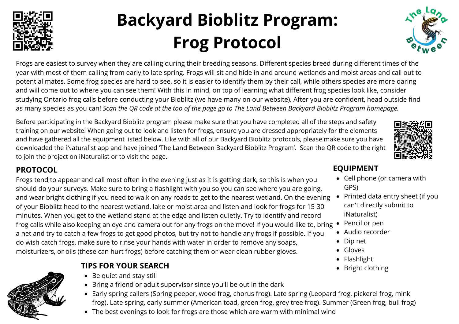# **Backyard Bioblitz Program: Frog Protocol**

Frogs are easiest to survey when they are calling during their breeding seasons. Different species breed during different times of the year with most of them calling from early to late spring. Frogs will sit and hide in and around wetlands and moist areas and call out to potential mates. Some frog species are hard to see, so it is easier to identify them by their call, while others species are more daring and will come out to where you can see them! With this in mind, on top of learning what different frog species look like, consider studying Ontario frog calls before conducting your Bioblitz (we have many on our website). After you are confident, head outside find as many species as you can! Scan the QR code at the top of the page go to The Land Between Backyard Bioblitz Program homepage.

Before participating in the Backyard Bioblitz program please make sure that you have completed all of the steps and safety training on our website! When going out to look and listen for frogs, ensure you are dressed appropriately for the elements and have gathered all the equipment listed below. Like with all of our Backyard Bioblitz protocols, please make sure you have downloaded the iNaturalist app and have joined 'The Land Between Backyard Bioblitz Program'. Scan the QR code to the right to join the project on iNaturalist or to visit the page.

#### **PROTOCOL**

Frogs tend to appear and call most often in the evening just as it is getting dark, so this is when you should do your surveys. Make sure to bring a flashlight with you so you can see where you are going, and wear bright clothing if you need to walk on any roads to get to the nearest wetland. On the evening of your Bioblitz head to the nearest wetland, lake or moist area and listen and look for frogs for 15-30 minutes. When you get to the wetland stand at the edge and listen quietly. Try to identify and record frog calls while also keeping an eye and camera out for any frogs on the move! If you would like to, bring a net and try to catch a few frogs to get good photos, but try not to handle any frogs if possible. If you do wish catch frogs, make sure to rinse your hands with water in order to remove any soaps, moisturizers, or oils (these can hurt frogs) before catching them or wear clean rubber gloves.

#### **TIPS FOR YOUR SEARCH**

- Be quiet and stay still
- Bring a friend or adult supervisor since you'll be out in the dark
- Early spring callers (Spring peeper, wood frog, chorus frog). Late spring (Leopard frog, pickerel frog, mink frog). Late spring, early summer (American toad, green frog, grey tree frog). Summer (Green frog, bull frog)
- The best evenings to look for frogs are those which are warm with minimal wind

#### **EQUIPMENT**

- Cell phone (or camera with GPS)
- Printed data entry sheet (if you can't directly submit to iNaturalist)
- Pencil or pen
- Audio recorder
- Dip net
- Gloves
- Flashlight
- Bright clothing







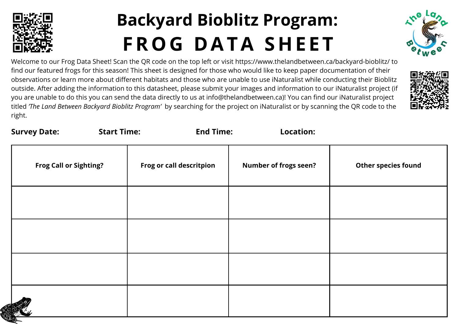

## **Backyard Bioblitz Program: FROG D ATA SHE E T**



Welcome to our Frog Data Sheet! Scan the QR code on the top left or visit https://www.thelandbetween.ca/backyard-bioblitz/ to find our featured frogs for this season! This sheet is designed for those who would like to keep paper documentation of their observations or learn more about different habitats and those who are unable to use iNaturalist while conducting their Bioblitz outside. After adding the information to this datasheet, please submit your images and information to our iNaturalist project (if you are unable to do this you can send the data directly to us at info@thelandbetween.ca)! You can find our iNaturalist project titled *'The Land Between Backyard Bioblitz Program'* by searching for the project on iNaturalist or by scanning the QR code to the right.



| <b>Survey Date:</b>           | <b>Start Time:</b> | <b>End Time:</b>         | <b>Location:</b>             |                     |
|-------------------------------|--------------------|--------------------------|------------------------------|---------------------|
| <b>Frog Call or Sighting?</b> |                    | Frog or call descritpion | <b>Number of frogs seen?</b> | Other species found |
|                               |                    |                          |                              |                     |
|                               |                    |                          |                              |                     |
|                               |                    |                          |                              |                     |
|                               |                    |                          |                              |                     |